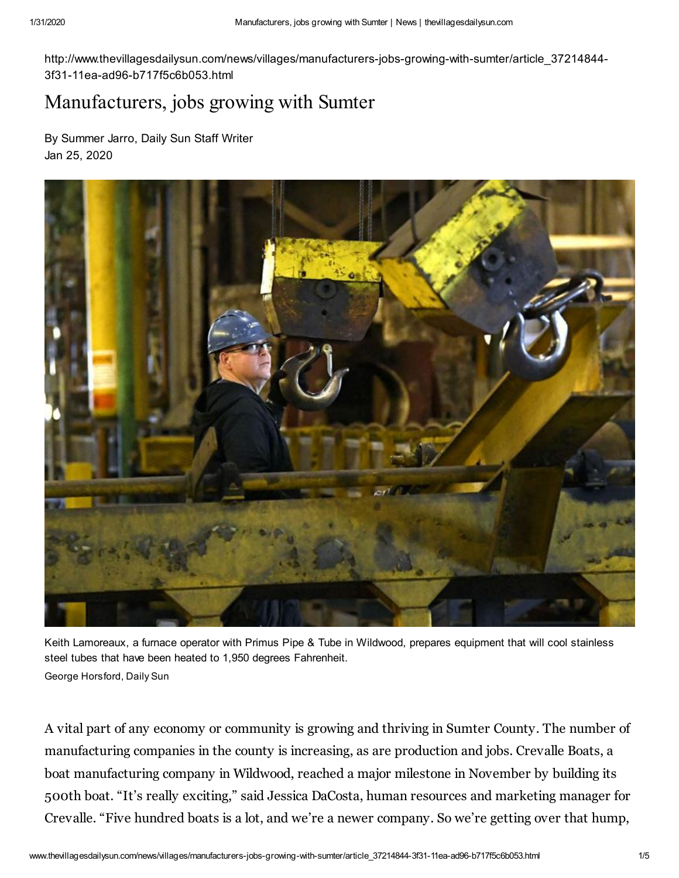http://www.thevillagesdailysun.com/news/villages/manufacturers-jobs-growing-with-sumter/article\_37214844- 3f31-11ea-ad96-b717f5c6b053.html

## Manufacturers, jobs growing with Sumter

By Summer Jarro, Daily Sun Staff Writer Jan 25, 2020



Keith Lamoreaux, a furnace operator with Primus Pipe & Tube in Wildwood, prepares equipment that will cool stainless steel tubes that have been heated to 1,950 degrees Fahrenheit. George Horsford, Daily Sun

A vital part of any economy or community is growing and thriving in Sumter County. The number of manufacturing companies in the county is increasing, as are production and jobs. Crevalle Boats, a boat manufacturing company in Wildwood, reached a major milestone in November by building its 500th boat. "It's really exciting," said Jessica DaCosta, human resources and marketing manager for Crevalle. "Five hundred boats is a lot, and we're a newer company. So we're getting over that hump,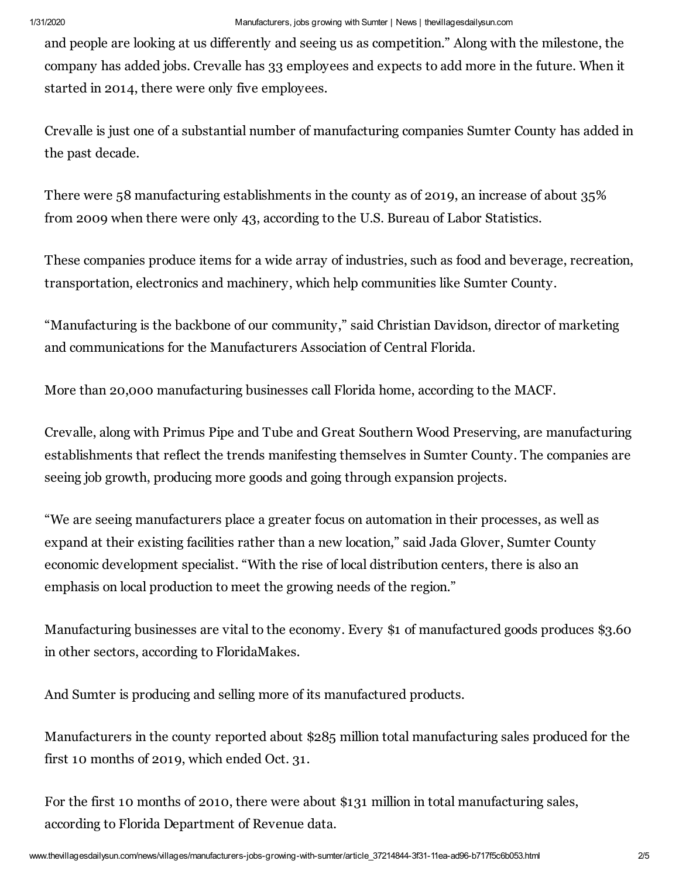and people are looking at us differently and seeing us as competition." Along with the milestone, the company has added jobs. Crevalle has 33 employees and expects to add more in the future. When it started in 2014, there were only five employees.

Crevalle is just one of a substantial number of manufacturing companies Sumter County has added in the past decade.

There were 58 manufacturing establishments in the county as of 2019, an increase of about 35% from 2009 when there were only 43, according to the U.S. Bureau of Labor Statistics.

These companies produce items for a wide array of industries, such as food and beverage, recreation, transportation, electronics and machinery, which help communities like Sumter County.

"Manufacturing is the backbone of our community," said Christian Davidson, director of marketing and communications for the Manufacturers Association of Central Florida.

More than 20,000 manufacturing businesses call Florida home, according to the MACF.

Crevalle, along with Primus Pipe and Tube and Great Southern Wood Preserving, are manufacturing establishments that reflect the trends manifesting themselves in Sumter County. The companies are seeing job growth, producing more goods and going through expansion projects.

"We are seeing manufacturers place a greater focus on automation in their processes, as well as expand at their existing facilities rather than a new location," said Jada Glover, Sumter County economic development specialist. "With the rise of local distribution centers, there is also an emphasis on local production to meet the growing needs of the region."

Manufacturing businesses are vital to the economy. Every \$1 of manufactured goods produces \$3.60 in other sectors, according to FloridaMakes.

And Sumter is producing and selling more of its manufactured products.

Manufacturers in the county reported about \$285 million total manufacturing sales produced for the first 10 months of 2019, which ended Oct. 31.

For the first 10 months of 2010, there were about \$131 million in total manufacturing sales, according to Florida Department of Revenue data.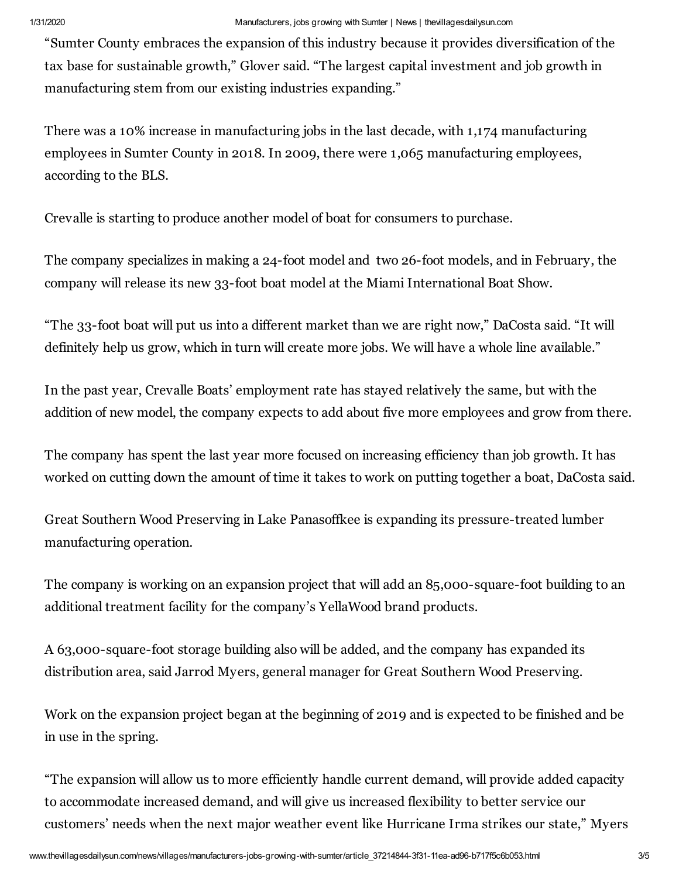"Sumter County embraces the expansion of this industry because it provides diversification of the tax base for sustainable growth," Glover said. "The largest capital investment and job growth in manufacturing stem from our existing industries expanding."

There was a 10% increase in manufacturing jobs in the last decade, with 1,174 manufacturing employees in Sumter County in 2018. In 2009, there were 1,065 manufacturing employees, according to the BLS.

Crevalle is starting to produce another model of boat for consumers to purchase.

The company specializes in making a 24-foot model and two 26-foot models, and in February, the company will release its new 33-foot boat model at the Miami International Boat Show.

"The 33-foot boat will put us into a different market than we are right now," DaCosta said. "It will definitely help us grow, which in turn will create more jobs. We will have a whole line available."

In the past year, Crevalle Boats' employment rate has stayed relatively the same, but with the addition of new model, the company expects to add about five more employees and grow from there.

The company has spent the last year more focused on increasing efficiency than job growth. It has worked on cutting down the amount of time it takes to work on putting together a boat, DaCosta said.

Great Southern Wood Preserving in Lake Panasoffkee is expanding its pressure-treated lumber manufacturing operation.

The company is working on an expansion project that will add an 85,000-square-foot building to an additional treatment facility for the company's YellaWood brand products.

A 63,000-square-foot storage building also will be added, and the company has expanded its distribution area, said Jarrod Myers, general manager for Great Southern Wood Preserving.

Work on the expansion project began at the beginning of 2019 and is expected to be finished and be in use in the spring.

"The expansion will allow us to more efficiently handle current demand, will provide added capacity to accommodate increased demand, and will give us increased flexibility to better service our customers' needs when the next major weather event like Hurricane Irma strikes our state," Myers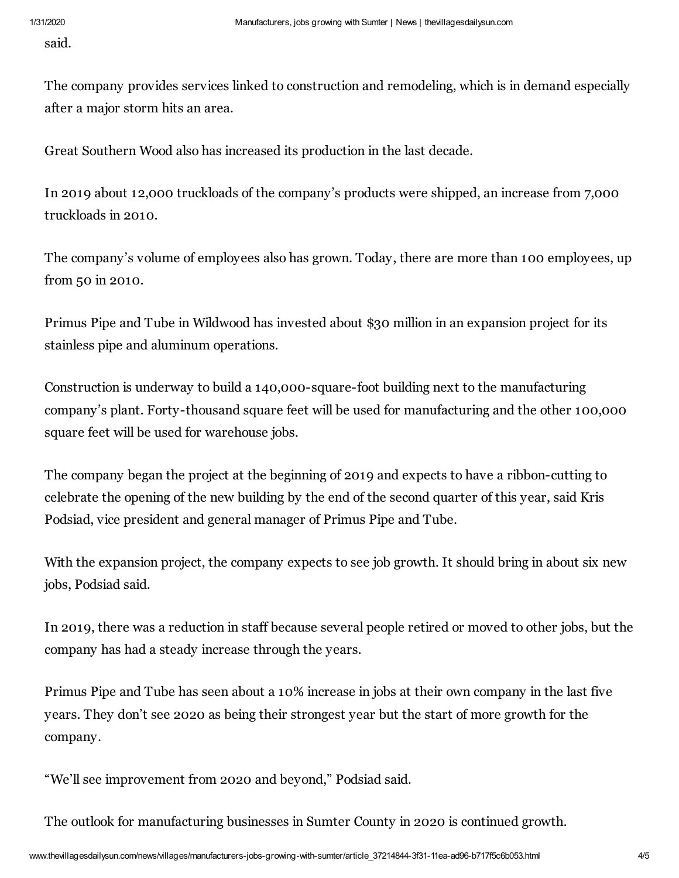said.

The company provides services linked to construction and remodeling, which is in demand especially after a major storm hits an area.

Great Southern Wood also has increased its production in the last decade.

In 2019 about 12,000 truckloads of the company's products were shipped, an increase from 7,000 truckloads in 2010.

The company's volume of employees also has grown. Today, there are more than 100 employees, up from 50 in 2010.

Primus Pipe and Tube in Wildwood has invested about \$30 million in an expansion project for its stainless pipe and aluminum operations.

Construction is underway to build a 140,000-square-foot building next to the manufacturing company's plant. Forty-thousand square feet will be used for manufacturing and the other 100,000 square feet will be used for warehouse jobs.

The company began the project at the beginning of 2019 and expects to have a ribbon-cutting to celebrate the opening of the new building by the end of the second quarter of this year, said Kris Podsiad, vice president and general manager of Primus Pipe and Tube.

With the expansion project, the company expects to see job growth. It should bring in about six new jobs, Podsiad said.

In 2019, there was a reduction in staff because several people retired or moved to other jobs, but the company has had a steady increase through the years.

Primus Pipe and Tube has seen about a 10% increase in jobs at their own company in the last five years. They don't see 2020 as being their strongest year but the start of more growth for the company.

"We'll see improvement from 2020 and beyond," Podsiad said.

The outlook for manufacturing businesses in Sumter County in 2020 is continued growth.